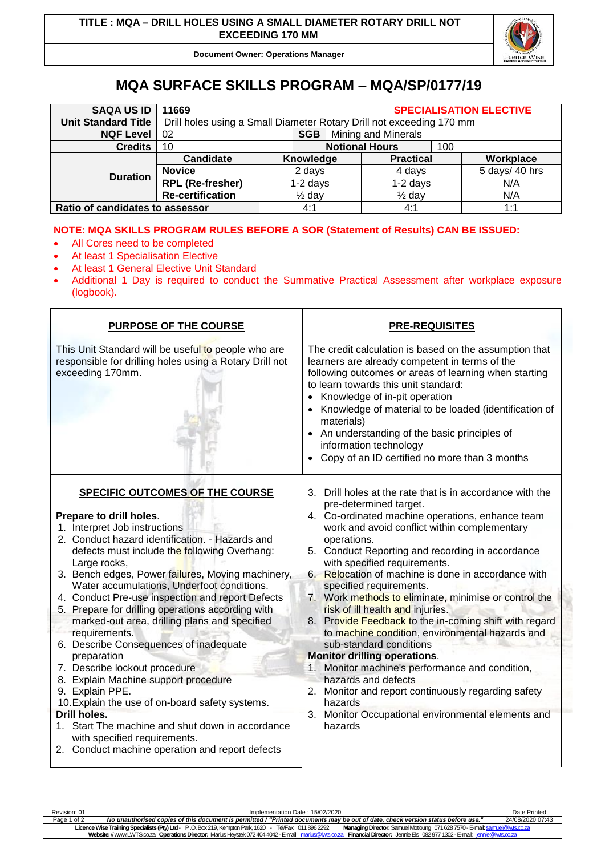

**Document Owner: Operations Manager**

## **MQA SURFACE SKILLS PROGRAM – MQA/SP/0177/19**

| <b>SAQA US ID</b>               | 11669                                                                |                       |           |  |                   |  | <b>SPECIALISATION ELECTIVE</b> |  |
|---------------------------------|----------------------------------------------------------------------|-----------------------|-----------|--|-------------------|--|--------------------------------|--|
| <b>Unit Standard Title</b>      | Drill holes using a Small Diameter Rotary Drill not exceeding 170 mm |                       |           |  |                   |  |                                |  |
| <b>NQF Level</b>                | <b>SGB</b>   Mining and Minerals<br>02                               |                       |           |  |                   |  |                                |  |
| <b>Credits</b>                  | 10                                                                   | <b>Notional Hours</b> |           |  | 100               |  |                                |  |
| <b>Duration</b>                 | Candidate                                                            |                       | Knowledge |  | <b>Practical</b>  |  | Workplace                      |  |
|                                 | <b>Novice</b>                                                        | 2 days                |           |  | 4 days            |  | 5 days/ 40 hrs                 |  |
|                                 | <b>RPL (Re-fresher)</b>                                              | $1-2$ days            |           |  | $1-2$ days        |  | N/A                            |  |
|                                 | <b>Re-certification</b>                                              | $\frac{1}{2}$ day     |           |  | $\frac{1}{2}$ day |  | N/A                            |  |
| Ratio of candidates to assessor |                                                                      |                       | 4:1       |  | 4:1               |  | 1:1                            |  |

## **NOTE: MQA SKILLS PROGRAM RULES BEFORE A SOR (Statement of Results) CAN BE ISSUED:**

- All Cores need to be completed
- At least 1 Specialisation Elective
- At least 1 General Elective Unit Standard
- Additional 1 Day is required to conduct the Summative Practical Assessment after workplace exposure (logbook).

| <b>PURPOSE OF THE COURSE</b>                                                                                                                                                                                                                                                                                                                                                                                                                                                                                                                                                                                                                                                                                                                                                                                                                                              | <b>PRE-REQUISITES</b>                                                                                                                                                                                                                                                                                                                                                                                                                                                                                                                                                                                                                                                                                                                                                                                                                                                    |  |  |  |  |
|---------------------------------------------------------------------------------------------------------------------------------------------------------------------------------------------------------------------------------------------------------------------------------------------------------------------------------------------------------------------------------------------------------------------------------------------------------------------------------------------------------------------------------------------------------------------------------------------------------------------------------------------------------------------------------------------------------------------------------------------------------------------------------------------------------------------------------------------------------------------------|--------------------------------------------------------------------------------------------------------------------------------------------------------------------------------------------------------------------------------------------------------------------------------------------------------------------------------------------------------------------------------------------------------------------------------------------------------------------------------------------------------------------------------------------------------------------------------------------------------------------------------------------------------------------------------------------------------------------------------------------------------------------------------------------------------------------------------------------------------------------------|--|--|--|--|
| This Unit Standard will be useful to people who are<br>responsible for drilling holes using a Rotary Drill not<br>exceeding 170mm.                                                                                                                                                                                                                                                                                                                                                                                                                                                                                                                                                                                                                                                                                                                                        | The credit calculation is based on the assumption that<br>learners are already competent in terms of the<br>following outcomes or areas of learning when starting<br>to learn towards this unit standard:<br>• Knowledge of in-pit operation<br>• Knowledge of material to be loaded (identification of<br>materials)<br>• An understanding of the basic principles of<br>information technology<br>Copy of an ID certified no more than 3 months                                                                                                                                                                                                                                                                                                                                                                                                                        |  |  |  |  |
| <b>SPECIFIC OUTCOMES OF THE COURSE</b><br>Prepare to drill holes.<br>1. Interpret Job instructions<br>2. Conduct hazard identification. - Hazards and<br>defects must include the following Overhang:<br>Large rocks,<br>3. Bench edges, Power failures, Moving machinery,<br>Water accumulations, Underfoot conditions.<br>4. Conduct Pre-use inspection and report Defects<br>5. Prepare for drilling operations according with<br>marked-out area, drilling plans and specified<br>requirements.<br>6. Describe Consequences of inadequate<br>preparation<br>7. Describe lockout procedure<br>8. Explain Machine support procedure<br>9. Explain PPE.<br>10. Explain the use of on-board safety systems.<br><b>Drill holes.</b><br>1. Start The machine and shut down in accordance<br>with specified requirements.<br>2. Conduct machine operation and report defects | 3. Drill holes at the rate that is in accordance with the<br>pre-determined target.<br>4. Co-ordinated machine operations, enhance team<br>work and avoid conflict within complementary<br>operations.<br>5. Conduct Reporting and recording in accordance<br>with specified requirements.<br>Relocation of machine is done in accordance with<br>6.<br>specified requirements.<br>7. Work methods to eliminate, minimise or control the<br>risk of ill health and injuries.<br>8. Provide Feedback to the in-coming shift with regard<br>to machine condition, environmental hazards and<br>sub-standard conditions<br><b>Monitor drilling operations.</b><br>1. Monitor machine's performance and condition,<br>hazards and defects<br>2. Monitor and report continuously regarding safety<br>hazards<br>3. Monitor Occupational environmental elements and<br>hazards |  |  |  |  |

Revision: 01 Implementation Date : 15/02/2020 Date Printed Page 1 of 2 *No unauthorised copies of this document is permitted / "Printed documents may be out of date, check version status before use."* 24/08/2020 07:43 **Licence Wise Training Specialists (Pty) Ltd**- P .O. Box 219, Kempton Park, 1620 - Tel/Fax: 011 896 2292 **Managing Director:** Samuel Motloung 071628 7570 -E-mai[l: samuel@lwts.co.za](mailto:samuel@lwts.co.za)  **Website:**// www.LWTS.co.za **Operations Director:** Marius Heystek 072404 4042 -E-mail: [marius@lwts.co.za](mailto:marius@lwts.co.za) **Financial Director:** Jennie Els 082977 1302 -E-mail: [jennie@lwts.co.za](mailto:jennie@lwts.co.za)